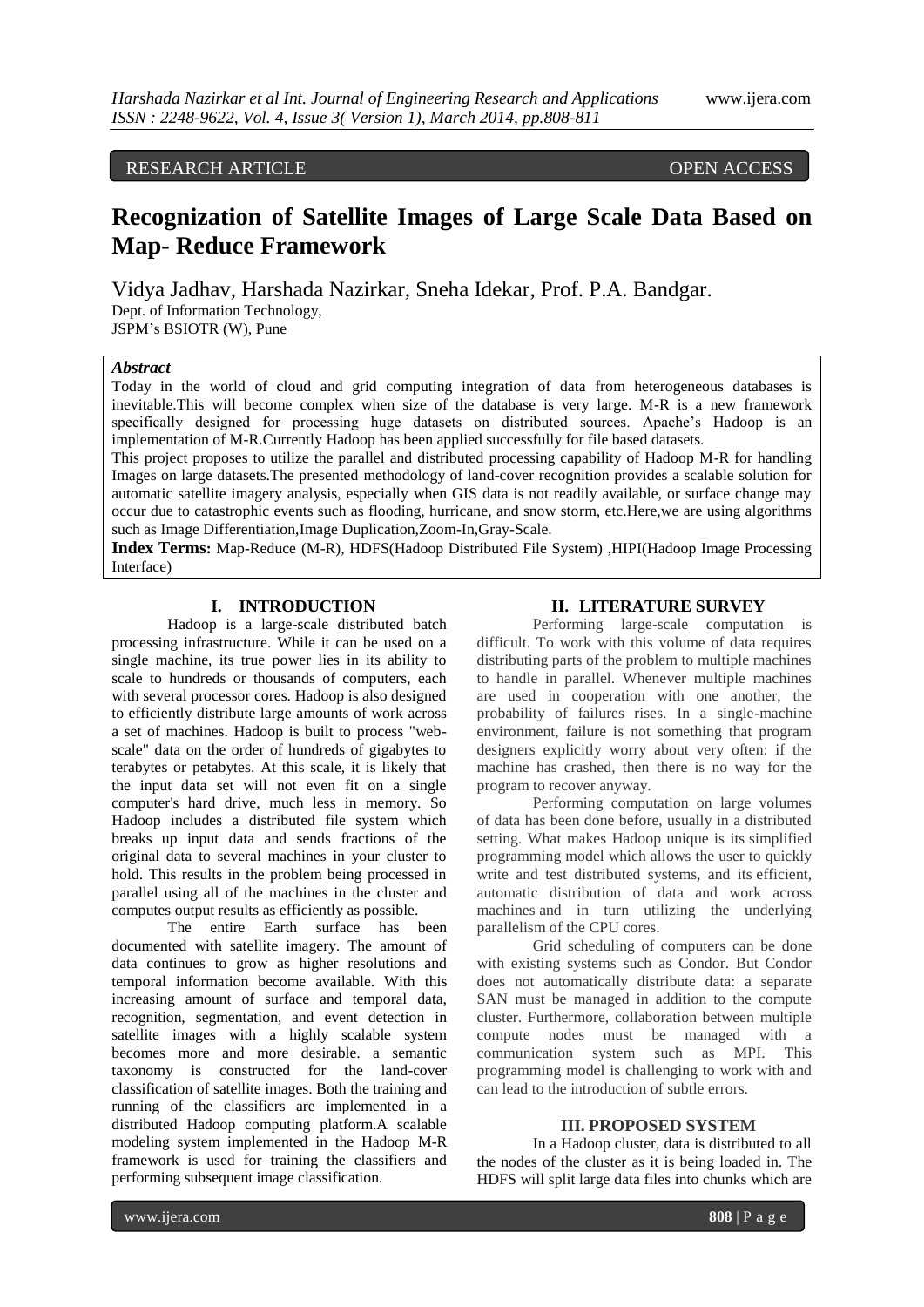# RESEARCH ARTICLE OPEN ACCESS

# **Recognization of Satellite Images of Large Scale Data Based on Map- Reduce Framework**

Vidya Jadhav, Harshada Nazirkar, Sneha Idekar, Prof. P.A. Bandgar. Dept. of Information Technology, JSPM's BSIOTR (W), Pune

## *Abstract*

Today in the world of cloud and grid computing integration of data from heterogeneous databases is inevitable.This will become complex when size of the database is very large. M-R is a new framework specifically designed for processing huge datasets on distributed sources. Apache's Hadoop is an implementation of M-R.Currently Hadoop has been applied successfully for file based datasets.

This project proposes to utilize the parallel and distributed processing capability of Hadoop M-R for handling Images on large datasets.The presented methodology of land-cover recognition provides a scalable solution for automatic satellite imagery analysis, especially when GIS data is not readily available, or surface change may occur due to catastrophic events such as flooding, hurricane, and snow storm, etc.Here,we are using algorithms such as Image Differentiation,Image Duplication,Zoom-In,Gray-Scale.

**Index Terms:** Map-Reduce (M-R), HDFS(Hadoop Distributed File System) ,HIPI(Hadoop Image Processing Interface)

# **I. INTRODUCTION**

Hadoop is a large-scale distributed batch processing infrastructure. While it can be used on a single machine, its true power lies in its ability to scale to hundreds or thousands of computers, each with several processor cores. Hadoop is also designed to efficiently distribute large amounts of work across a set of machines. Hadoop is built to process "webscale" data on the order of hundreds of gigabytes to terabytes or petabytes. At this scale, it is likely that the input data set will not even fit on a single computer's hard drive, much less in memory. So Hadoop includes a distributed file system which breaks up input data and sends fractions of the original data to several machines in your cluster to hold. This results in the problem being processed in parallel using all of the machines in the cluster and computes output results as efficiently as possible.

The entire Earth surface has been documented with satellite imagery. The amount of data continues to grow as higher resolutions and temporal information become available. With this increasing amount of surface and temporal data, recognition, segmentation, and event detection in satellite images with a highly scalable system becomes more and more desirable. a semantic taxonomy is constructed for the land-cover classification of satellite images. Both the training and running of the classifiers are implemented in a distributed Hadoop computing platform.A scalable modeling system implemented in the Hadoop M-R framework is used for training the classifiers and performing subsequent image classification.

#### **II. LITERATURE SURVEY**

Performing large-scale computation is difficult. To work with this volume of data requires distributing parts of the problem to multiple machines to handle in parallel. Whenever multiple machines are used in cooperation with one another, the probability of failures rises. In a single-machine environment, failure is not something that program designers explicitly worry about very often: if the machine has crashed, then there is no way for the program to recover anyway.

Performing computation on large volumes of data has been done before, usually in a distributed setting. What makes Hadoop unique is its simplified programming model which allows the user to quickly write and test distributed systems, and its efficient, automatic distribution of data and work across machines and in turn utilizing the underlying parallelism of the CPU cores.

Grid scheduling of computers can be done with existing systems such as Condor. But Condor does not automatically distribute data: a separate SAN must be managed in addition to the compute cluster. Furthermore, collaboration between multiple compute nodes must be managed with a communication system such as MPI. This programming model is challenging to work with and can lead to the introduction of subtle errors.

#### **III. PROPOSED SYSTEM**

In a Hadoop cluster, data is distributed to all the nodes of the cluster as it is being loaded in. The HDFS will split large data files into chunks which are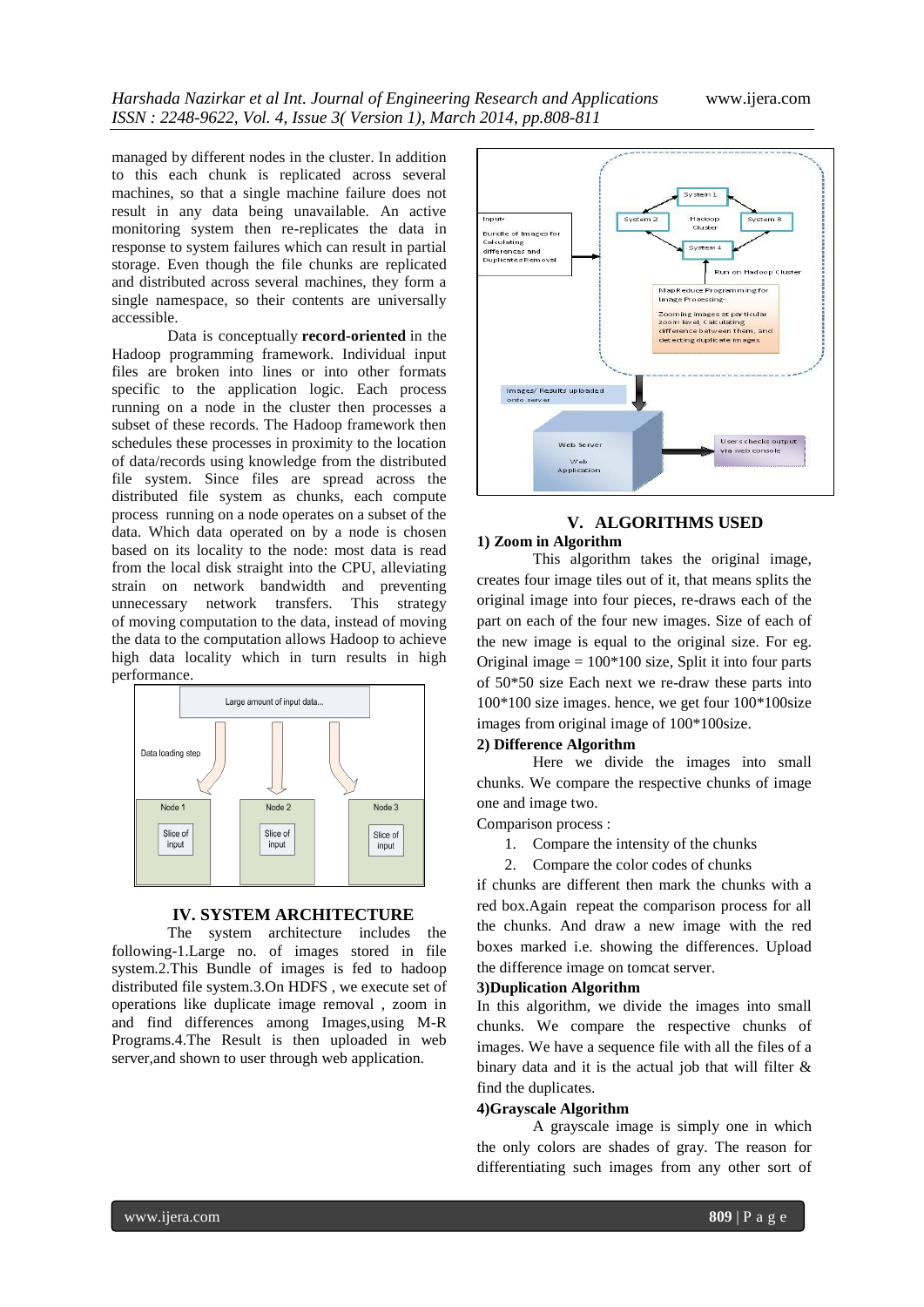managed by different nodes in the cluster. In addition to this each chunk is replicated across several machines, so that a single machine failure does not result in any data being unavailable. An active monitoring system then re-replicates the data in response to system failures which can result in partial storage. Even though the file chunks are replicated and distributed across several machines, they form a single namespace, so their contents are universally accessible.

Data is conceptually **record-oriented** in the Hadoop programming framework. Individual input files are broken into lines or into other formats specific to the application logic. Each process running on a node in the cluster then processes a subset of these records. The Hadoop framework then schedules these processes in proximity to the location of data/records using knowledge from the distributed file system. Since files are spread across the distributed file system as chunks, each compute process running on a node operates on a subset of the data. Which data operated on by a node is chosen based on its locality to the node: most data is read from the local disk straight into the CPU, alleviating strain on network bandwidth and preventing unnecessary network transfers. This strategy of moving computation to the data, instead of moving the data to the computation allows Hadoop to achieve high data locality which in turn results in high performance.



## **IV. SYSTEM ARCHITECTURE**

The system architecture includes the following-1.Large no. of images stored in file system.2.This Bundle of images is fed to hadoop distributed file system.3.On HDFS , we execute set of operations like duplicate image removal , zoom in and find differences among Images,using M-R Programs.4.The Result is then uploaded in web server,and shown to user through web application.



# **V. ALGORITHMS USED**

# **1) Zoom in Algorithm**

This algorithm takes the original image, creates four image tiles out of it, that means splits the original image into four pieces, re-draws each of the part on each of the four new images. Size of each of the new image is equal to the original size. For eg. Original image  $= 100*100$  size, Split it into four parts of 50\*50 size Each next we re-draw these parts into 100\*100 size images. hence, we get four 100\*100size images from original image of 100\*100size.

#### **2) Difference Algorithm**

Here we divide the images into small chunks. We compare the respective chunks of image one and image two.

Comparison process :

- 1. Compare the intensity of the chunks
- 2. Compare the color codes of chunks

if chunks are different then mark the chunks with a red box.Again repeat the comparison process for all the chunks. And draw a new image with the red boxes marked i.e. showing the differences. Upload the difference image on tomcat server.

#### **3)Duplication Algorithm**

In this algorithm, we divide the images into small chunks. We compare the respective chunks of images. We have a sequence file with all the files of a binary data and it is the actual job that will filter  $\&$ find the duplicates.

#### **4)Grayscale Algorithm**

A grayscale image is simply one in which the only colors are shades of gray. The reason for differentiating such images from any other sort of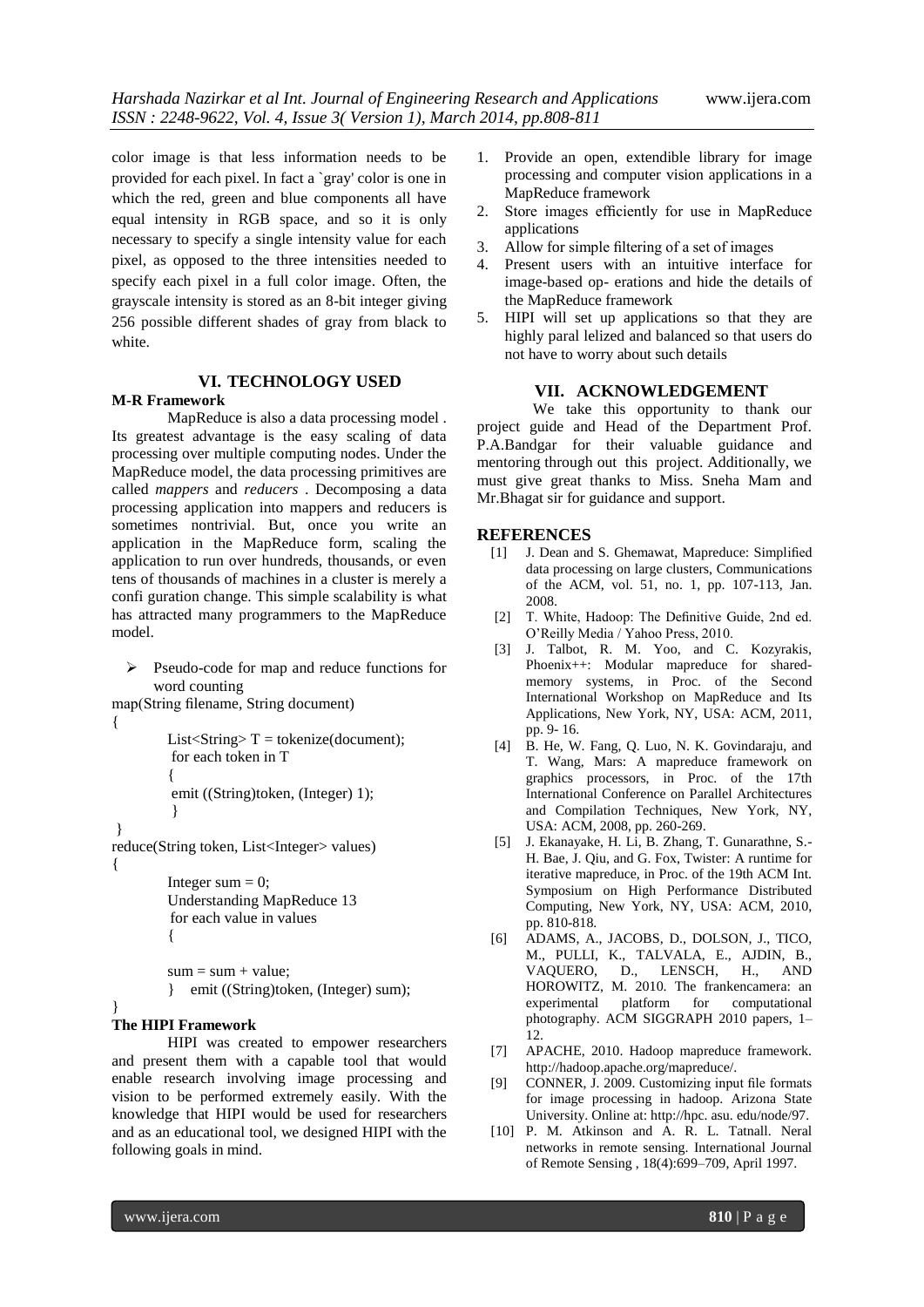color image is that less information needs to be provided for each pixel. In fact a `gray' color is one in which the red, green and blue components all have equal intensity in [RGB space,](http://homepages.inf.ed.ac.uk/rbf/HIPR2/rgb.htm) and so it is only necessary to specify a single intensity value for each pixel, as opposed to the three intensities needed to specify each pixel in a [full color image.](http://homepages.inf.ed.ac.uk/rbf/HIPR2/colimage.htm) Often, the grayscale intensity is stored as an 8-bit integer giving 256 possible different shades of gray from black to white.

## **VI. TECHNOLOGY USED**

#### **M-R Framework**

MapReduce is also a data processing model . Its greatest advantage is the easy scaling of data processing over multiple computing nodes. Under the MapReduce model, the data processing primitives are called *mappers* and *reducers* . Decomposing a data processing application into mappers and reducers is sometimes nontrivial. But, once you write an application in the MapReduce form, scaling the application to run over hundreds, thousands, or even tens of thousands of machines in a cluster is merely a confi guration change. This simple scalability is what has attracted many programmers to the MapReduce model.

```
\triangleright Pseudo-code for map and reduce functions for
    word counting
```

```
map(String filename, String document)
```

```
{
```
}

```
List<String>T =tokenize(document);
for each token in T 
{ 
emit ((String)token, (Integer) 1); 
 }
```
} reduce(String token, List<Integer> values) {

```
Integer sum = 0;
Understanding MapReduce 13
 for each value in values 
{
```
 $sum = sum + value$ ;

} emit ((String)token, (Integer) sum);

## **The HIPI Framework**

HIPI was created to empower researchers and present them with a capable tool that would enable research involving image processing and vision to be performed extremely easily. With the knowledge that HIPI would be used for researchers and as an educational tool, we designed HIPI with the following goals in mind.

- 1. Provide an open, extendible library for image processing and computer vision applications in a MapReduce framework
- 2. Store images efficiently for use in MapReduce applications
- 3. Allow for simple filtering of a set of images
- 4. Present users with an intuitive interface for image-based op- erations and hide the details of the MapReduce framework
- 5. HIPI will set up applications so that they are highly paral lelized and balanced so that users do not have to worry about such details

### **VII. ACKNOWLEDGEMENT**

We take this opportunity to thank our project guide and Head of the Department Prof. P.A.Bandgar for their valuable guidance and mentoring through out this project. Additionally, we must give great thanks to Miss. Sneha Mam and Mr.Bhagat sir for guidance and support.

### **REFERENCES**

- [1] J. Dean and S. Ghemawat, Mapreduce: Simplified data processing on large clusters, Communications of the ACM, vol. 51, no. 1, pp. 107-113, Jan. 2008.
- [2] T. White, Hadoop: The Definitive Guide, 2nd ed. O'Reilly Media / Yahoo Press, 2010.
- [3] J. Talbot, R. M. Yoo, and C. Kozyrakis, Phoenix++: Modular mapreduce for sharedmemory systems, in Proc. of the Second International Workshop on MapReduce and Its Applications, New York, NY, USA: ACM, 2011, pp. 9- 16.
- [4] B. He, W. Fang, Q. Luo, N. K. Govindaraju, and T. Wang, Mars: A mapreduce framework on graphics processors, in Proc. of the 17th International Conference on Parallel Architectures and Compilation Techniques, New York, NY, USA: ACM, 2008, pp. 260-269.
- [5] J. Ekanayake, H. Li, B. Zhang, T. Gunarathne, S.- H. Bae, J. Qiu, and G. Fox, Twister: A runtime for iterative mapreduce, in Proc. of the 19th ACM Int. Symposium on High Performance Distributed Computing, New York, NY, USA: ACM, 2010, pp. 810-818.
- [6] ADAMS, A., JACOBS, D., DOLSON, J., TICO, M., PULLI, K., TALVALA, E., AJDIN, B., VAQUERO, D., LENSCH, H., AND HOROWITZ, M. 2010. The frankencamera: an experimental platform for computational photography. ACM SIGGRAPH 2010 papers, 1– 12.
- [7] APACHE, 2010. Hadoop mapreduce framework. http://hadoop.apache.org/mapreduce/.
- [9] CONNER, J. 2009. Customizing input file formats for image processing in hadoop. Arizona State University. Online at: http://hpc. asu. edu/node/97.
- [10] P. M. Atkinson and A. R. L. Tatnall. Neral networks in remote sensing. International Journal of Remote Sensing , 18(4):699–709, April 1997.